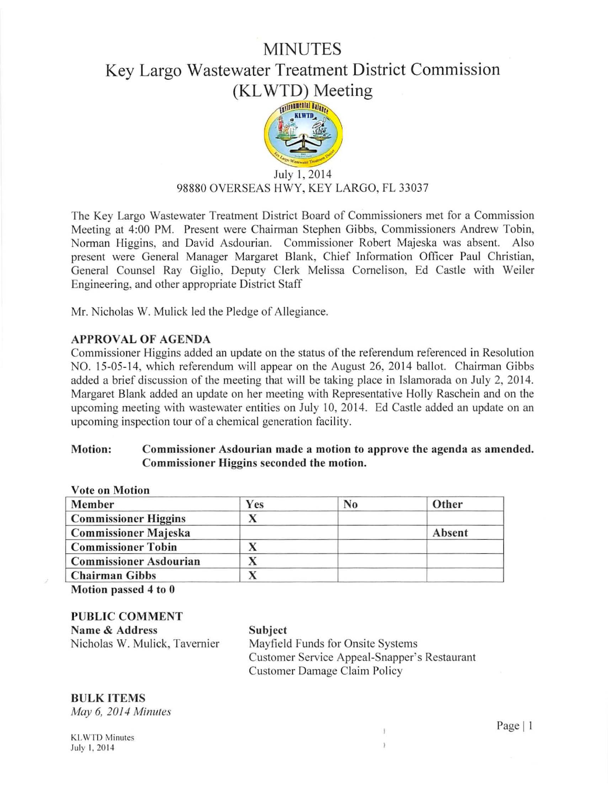### **MINUTES**

## Key Largo Wastewater Treatment District Commission (KLWTD) Meeting



# $July\ 1, 2014$ 98880 OVERSEAS HWY, KEY LARGO, FL 33037

The Key Largo Wastewater Treatment District Board of Commissioners met for a Commission Meeting at 4:00 PM. Present were Chairman Stephen Gibbs, Commissioners Andrew Tobin, Norman Higgins, and David Asdourian. Commissioner Robert Majeska was absent. Also present were General Manager Margaret Blank, Chief Information Officer Paul Christian, General Counsel Ray Giglio, Deputy Clerk Melissa Cornelison, Ed Castle with Weiler Engineering, and other appropriate District Staff

Mr. Nicholas W. Mulick led the Pledge of Allegiance.

### APPROVAL OF AGENDA

Commissioner Higgins added an update on the status of the referendum referenced in Resolution NO. 15-05-14, which referendum will appear on the August 26, 2014 ballot. Chairman Gibbs added a brief discussion of the meeting that will be taking place in Islamorada on July 2, 2014. Margaret Blank added an update on her meeting with Representative Holly Raschein and on the upcoming meeting with wastewater entities on July 10, 2014. Ed Castle added an update on an upcoming inspection tour of a chemical generation facility.

#### Motion: Commissioner Asdourian made a motion to approve the agenda as amended. Commissioner Higgins seconded the motion.

| <b>Vote on Motion</b>         |     |                |        |  |
|-------------------------------|-----|----------------|--------|--|
| Member                        | Yes | N <sub>0</sub> | Other  |  |
| <b>Commissioner Higgins</b>   |     |                |        |  |
| <b>Commissioner Majeska</b>   |     |                | Absent |  |
| <b>Commissioner Tobin</b>     |     |                |        |  |
| <b>Commissioner Asdourian</b> |     |                |        |  |
| <b>Chairman Gibbs</b>         |     |                |        |  |

Motion passed 4 to 0

#### PUBLIC COMMENT Name & Address Nicholas W. Mulick, Tavernier

#### Subject

Mayfield Funds for Onsite Systems Customer Service Appeal-Snapper's Restaurant Customer Damage Claim Policy

> 1  $\overline{ }$

# BULK ITEMS

*May 6, 2014 Minutes* 

Page | 1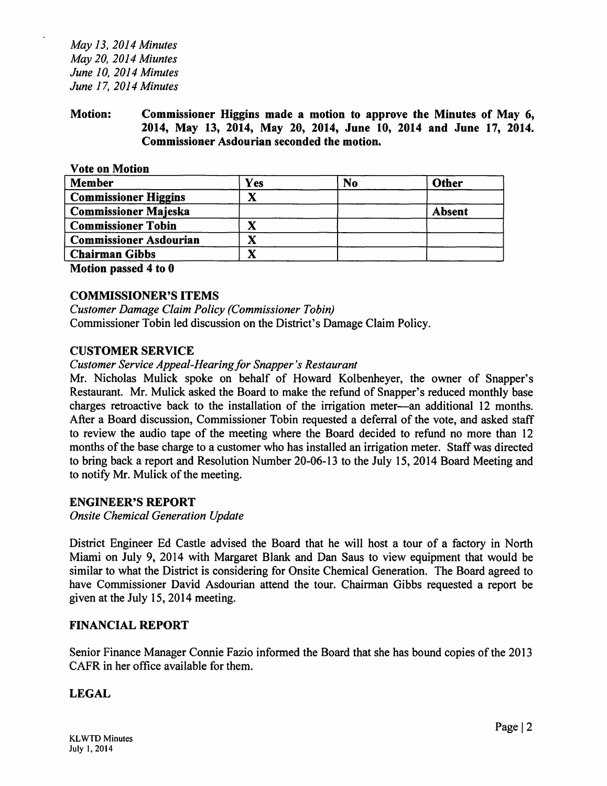*May 13, 2014 Minutes May 20, 2014 Miuntes June 10, 2014 Minutes June 17, 2014 Minutes* 

Motion: Commissioner Higgins made a motion to approve the Minutes of May 6, 2014, May 13, 2014, May 20, 2014, June 10, 2014 and June 17, 2014. Commissioner Asdourian seconded the motion.

Vote on Motion

| <b>Member</b>                 | Yes | N <sub>0</sub> | Other         |
|-------------------------------|-----|----------------|---------------|
| <b>Commissioner Higgins</b>   |     |                |               |
| <b>Commissioner Majeska</b>   |     |                | <b>Absent</b> |
| <b>Commissioner Tobin</b>     |     |                |               |
| <b>Commissioner Asdourian</b> |     |                |               |
| <b>Chairman Gibbs</b>         |     |                |               |
| <b>THE SECTION CONTINUES</b>  |     |                |               |

Motion passed 4 to 0

#### COMMISSIONER'S ITEMS

*Customer Damage Claim Policy (Commissioner Tobin)*  Commissioner Tobin led discussion on the District's Damage Claim Policy.

#### CUSTOMER SERVICE

#### *Customer Service Appeal-Hearing for Snapper's Restaurant*

Mr. Nicholas Mulick spoke on behalf of Howard Kolbenheyer, the owner of Snapper's Restaurant. Mr. Mulick asked the Board to make the refund of Snapper's reduced monthly base charges retroactive back to the installation of the irrigation meter-an additional 12 months. After a Board discussion, Commissioner Tobin requested a deferral of the vote, and asked staff to review the audio tape of the meeting where the Board decided to refund no more than 12 months of the base charge to a customer who has installed an irrigation meter. Staff was directed to bring back a report and Resolution Number 20-06-13 to the July 15, 2014 Board Meeting and to notify Mr. Mulick of the meeting.

#### ENGINEER'S REPORT

*Onsite Chemical Generation Update* 

District Engineer Ed Castle advised the Board that he will host a tour of a factory in North Miami on July 9, 2014 with Margaret Blank and Dan Saus to view equipment that would be similar to what the District is considering for Onsite Chemical Generation. The Board agreed to have Commissioner David Asdourian attend the tour. Chairman Gibbs requested a report be given at the July 15, 2014 meeting.

#### FINANCIAL REPORT

Senior Finance Manager Connie Fazio informed the Board that she has bound copies of the 2013 CAFR in her office available for them.

#### LEGAL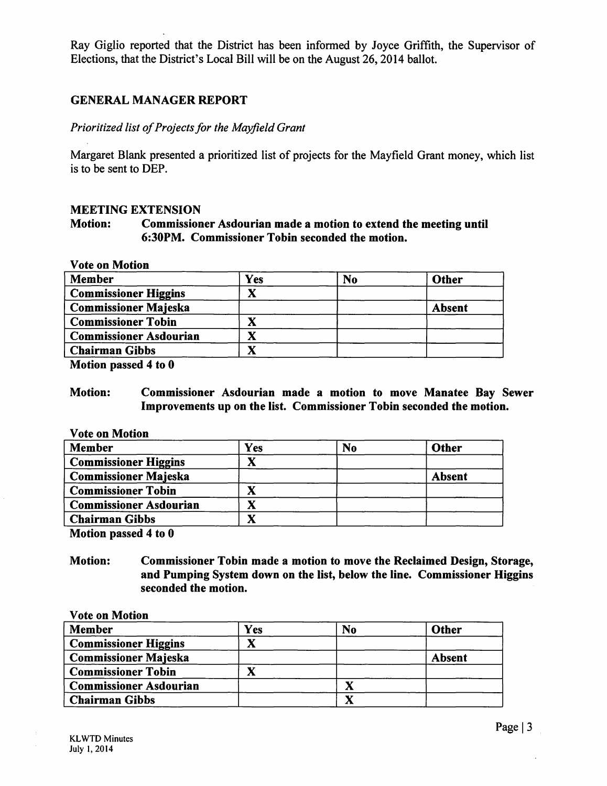Ray Giglio reported that the District has been informed by Joyce Griffith, the Supervisor of Elections, that the District's Local Bill will be on the August 26, 2014 ballot.

#### GENERAL MANAGER REPORT

#### *Prioritized list of Projects for the Mayfield Grant*

Margaret Blank presented a prioritized list of projects for the Mayfield Grant money, which list is to be sent to DEP.

#### MEETING EXTENSION

#### Motion: Commissioner Asdourian made a motion to extend the meeting until 6:30PM. Commissioner Tobin seconded the motion.

Vote on Motion

| <b>Member</b>                 | Yes | N <sub>o</sub> | <b>Other</b>  |
|-------------------------------|-----|----------------|---------------|
| <b>Commissioner Higgins</b>   |     |                |               |
| <b>Commissioner Majeska</b>   |     |                | <b>Absent</b> |
| <b>Commissioner Tobin</b>     |     |                |               |
| <b>Commissioner Asdourian</b> | X   |                |               |
| <b>Chairman Gibbs</b>         | ́́  |                |               |

Motion passed 4 to 0

#### Motion: Commissioner Asdourian made a motion to move Manatee Bay Sewer Improvements up on the list. Commissioner Tobin seconded the motion.

Vote on Motion

| <b>Member</b>                 | Yes | N <sub>o</sub> | <b>Other</b>  |
|-------------------------------|-----|----------------|---------------|
| <b>Commissioner Higgins</b>   |     |                |               |
| <b>Commissioner Majeska</b>   |     |                | <b>Absent</b> |
| <b>Commissioner Tobin</b>     |     |                |               |
| <b>Commissioner Asdourian</b> | л   |                |               |
| <b>Chairman Gibbs</b>         |     |                |               |

Motion passed 4 to 0

Motion: Commissioner Tobin made a motion to move the Reclaimed Design, Storage, and Pumping System down on the list, below the line. Commissioner Higgins seconded the motion.

#### Vote on Motion Member **Commissioner Higgins** Commissioner Majeska Commissioner Tobin Commissioner Asdourian Chairman Gibbs Yes x x No Other Absent x x